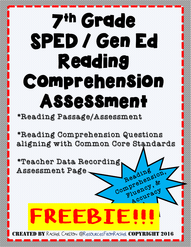## 7th Grade SPED / Gen Ed Reading Comprehension Assessment

### \*Reading Passage/Assessment

\*Reading Comprehension Questions aligning with Common Core Standards

Reading

Accuracy

\*Teacher Data Recording Assessment Page Reading<br>Comprehension,

# FREEBTE

 $TED$   $BY$  Rachel Carlton @ResourcesFromRachel  $\bf COPYI$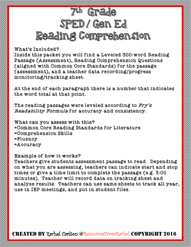### <sup>th</sup> Grade SPED / Gen Ed Reading Comprehension

What's Included?

Inside this packet you will find a Leveled 300-word Reading Passage (Assessment), Reading Comprehension Questions (aligned with Common Core Standards) for the passage (assessment), and a teacher data recording/progress monitoring/tracking sheet.

At the end of each paragraph there is a number that indicates the word total at that point.

The reading passages were leveled according to  $Fry's$ Readability Formula for accuracy and consistency.

What can you assess with this? =Common Core Reading Standards for Literature =Comprehension Skills =Fluency =Accuracy

Example of how it works?

Teachers give students assessment passage to read. Depending on what you are assessing, teachers can indicate start and stop times or give a time limit to complete the passage (e.g. 3:00 minutes). Teacher will record data on tracking sheet and analyze results. Teachers can use same sheets to track all year, use in IEP meetings, and put in student files.

 $\textbf{C}\textbf{R}\textbf{E}\textbf{A}\textbf{T}\textbf{E}\textbf{D}$  By Rechel Corlton @ResourcesFromRechel COPYRIGH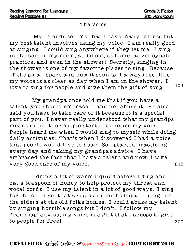#### The Voice

My friends tell me that I have many talents but my best talent involves using my voice. I am really good at singing. I could sing anywhere if they let me. I sing in the car, in my room, at school, at home, at volleyball practice, and even in the shower! Secretly, singing in the shower is one of my favorite places to sing. Because of the small space and how it sounds, I always feel like my voice is as clear as day when I am in the shower. I love to sing for people and give them the gift of song. 103

My grandpa once told me that if you have a talent, you should embrace it and not abuse it. He also said you have to take care of it because it is a special part of you. I never really understood what my grandpa meant until other people started to notice my voice. People heard me when I would sing to myself while doing daily activities. That's when I discovered I had a voice that people would love to hear. So I started practicing every day and taking my grandpas advice. I have embraced the fact that I have a talent and now, I take very good care of my voice. 215

I drink a lot of warm liquids before I sing and I eat a teaspoon of honey to help protect my throat and vocal cords. I use my talent in a lot of good ways. I sing for the children that are sick in the hospital. I sing for the elders at the old folks homes. I could abuse my talent by singing horrible songs but I don't. I follow my grandpas' advice, my voice is a gift that I choose to give to people for free! 300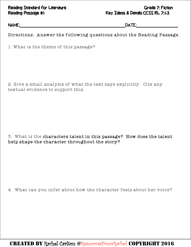#### Reading Standard for Literature Grade 7: Fiction Reading Passage #1 Key Ideas & Details CCSS RL 7:1-3

NAME:\_\_\_\_\_\_\_\_\_\_\_\_\_\_\_\_\_\_\_\_\_\_\_\_\_\_\_\_\_\_\_\_\_DATE:\_\_\_\_\_\_\_\_\_\_\_\_\_

Directions: Answer the following questions about the Reading Passage.

1. What is the theme of this passage?

2. Give a small analysis of what the text says explicitly. Cite any textual evidence to support this.

#### 3. What is the characters talent in this passage? How does the talent help shape the character throughout the story?

4. What can you infer about how the character feels about her voice?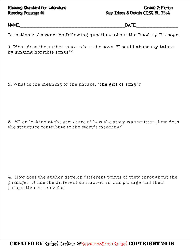#### Reading Standard for Literature Grade 7: Fiction Reading Passage #1 Key Ideas & Details CCSS RL 7:4-6

NAME:\_\_\_\_\_\_\_\_\_\_\_\_\_\_\_\_\_\_\_\_\_\_\_\_\_\_\_\_\_\_\_\_\_DATE:\_\_\_\_\_\_\_\_\_\_\_\_\_

Directions: Answer the following questions about the Reading Passage.

1. What does the author mean when she says, "I could abuse my talent by singing horrible songs"?

2. What is the meaning of the phrase, "the gift of song"?

3. When looking at the structure of how the story was written, how does the structure contribute to the story's meaning?

4. How does the author develop different points of view throughout the passage? Name the different characters in this passage and their perspective on the voice.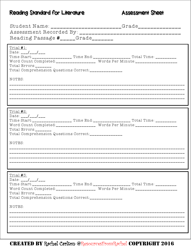### Reading Standard for Literature

#### **Assessment Sheet**

| Reading Passage #_____Grade_______                                                                                                         | Student Name: _______________________Grade______________                                                                                                                                 |
|--------------------------------------------------------------------------------------------------------------------------------------------|------------------------------------------------------------------------------------------------------------------------------------------------------------------------------------------|
| Trial #1:<br>Date: $\frac{\frac{1}{2}}{\frac{1}{2}}$<br>Total $Errors:$<br>Total Comprehension Questions Correct:_______________<br>NOTES: | Time Start:___________________ Time End:___________________ Total Time: _________<br>Word Count Completed:__________________ Words Per Minute:______________________                     |
| Trial #2:<br>$Date: _{-}-/-$<br>Total $Error:$<br>Total Comprehension Questions Correct:______________<br>NOTES:                           | Date: ___/ ___/ ___<br>Time Start:_________________ Time End:_________________ Total Time: __________<br>Word Count Completed:__________________ Words Per Minute:______________________ |
| Trial #3:<br>$Date: _{---}/_{---}/_{---}$<br>Total Errors:_______<br>Total Comprehension Questions Correct:______________<br>NOTES:        | Time Start:____________________ Time End:____________________ Total Time: __________<br>Word Count Completed:_________________ Words Per Minute:____________________                     |

CREATED BY Rechel Cerlton @ResourcesFromRechel COPYRIGHT 2016